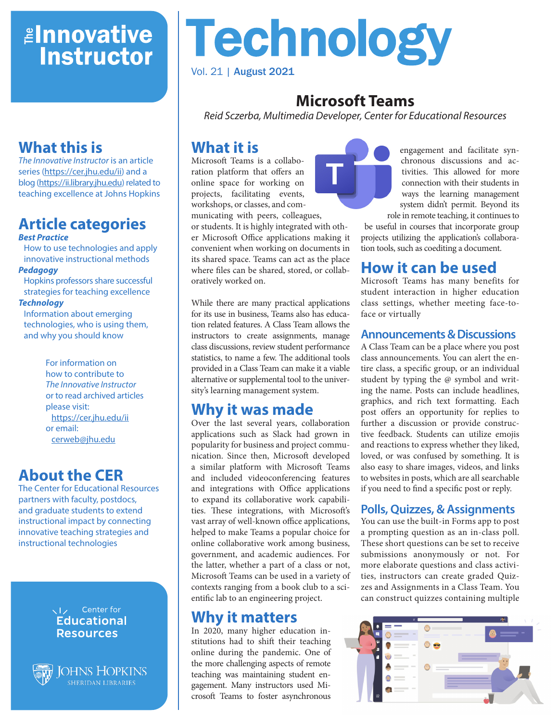# *<u>Elnnovative</u>* **Instructor**

# **What this is**

*The Innovative Instructor* is an article series (<https://cer.jhu.edu/ii>) and a blog [\(https://ii.library.jhu.edu\)](https://ii.library.jhu.edu) related to teaching excellence at Johns Hopkins

#### **Article categories** *Best Practice*

How to use technologies and apply innovative instructional methods

*Pedagogy*

Hopkins professors share successful strategies for teaching excellence

#### *Technology*

Information about emerging technologies, who is using them, and why you should know

> For information on how to contribute to *The Innovative Instructor* or to read archived articles please visit: <https://cer.jhu.edu/ii> or email: [cerweb@jhu.edu](mailto:cerweb%40jhu.edu?subject=Innovative%20Instructor%20inquiry)

# **About the CER**

The Center for Educational Resources partners with faculty, postdocs, and graduate students to extend instructional impact by connecting innovative teaching strategies and instructional technologies

#### VI<sub>z</sub> Center for **Educational Resources**



**JOHNS HOPKINS** 

# Technology Vol. 21 | August 2021

# **Microsoft Teams**

*Reid Sczerba, Multimedia Developer, Center for Educational Resources*

# **What it is**

Microsoft Teams is a collaboration platform that offers an online space for working on projects, facilitating events, workshops, or classes, and communicating with peers, colleagues,

or students. It is highly integrated with other Microsoft Office applications making it convenient when working on documents in its shared space. Teams can act as the place where files can be shared, stored, or collaboratively worked on.

While there are many practical applications for its use in business, Teams also has education related features. A Class Team allows the instructors to create assignments, manage class discussions, review student performance statistics, to name a few. The additional tools provided in a Class Team can make it a viable alternative or supplemental tool to the university's learning management system.

## **Why it was made**

Over the last several years, collaboration applications such as Slack had grown in popularity for business and project communication. Since then, Microsoft developed a similar platform with Microsoft Teams and included videoconferencing features and integrations with Office applications to expand its collaborative work capabilities. These integrations, with Microsoft's vast array of well-known office applications, helped to make Teams a popular choice for online collaborative work among business, government, and academic audiences. For the latter, whether a part of a class or not, Microsoft Teams can be used in a variety of contexts ranging from a book club to a scientific lab to an engineering project.

## **Why it matters**

In 2020, many higher education institutions had to shift their teaching online during the pandemic. One of the more challenging aspects of remote teaching was maintaining student engagement. Many instructors used Microsoft Teams to foster asynchronous



engagement and facilitate synchronous discussions and activities. This allowed for more connection with their students in ways the learning management system didn't permit. Beyond its role in remote teaching, it continues to

be useful in courses that incorporate group projects utilizing the application's collaboration tools, such as coediting a document.

## **How it can be used**

Microsoft Teams has many benefits for student interaction in higher education class settings, whether meeting face-toface or virtually

#### **Announcements & Discussions**

A Class Team can be a place where you post class announcements. You can alert the entire class, a specific group, or an individual student by typing the @ symbol and writing the name. Posts can include headlines, graphics, and rich text formatting. Each post offers an opportunity for replies to further a discussion or provide constructive feedback. Students can utilize emojis and reactions to express whether they liked, loved, or was confused by something. It is also easy to share images, videos, and links to websites in posts, which are all searchable if you need to find a specific post or reply.

#### **Polls, Quizzes, & Assignments**

You can use the built-in Forms app to post a prompting question as an in-class poll. These short questions can be set to receive submissions anonymously or not. For more elaborate questions and class activities, instructors can create graded Quizzes and Assignments in a Class Team. You can construct quizzes containing multiple